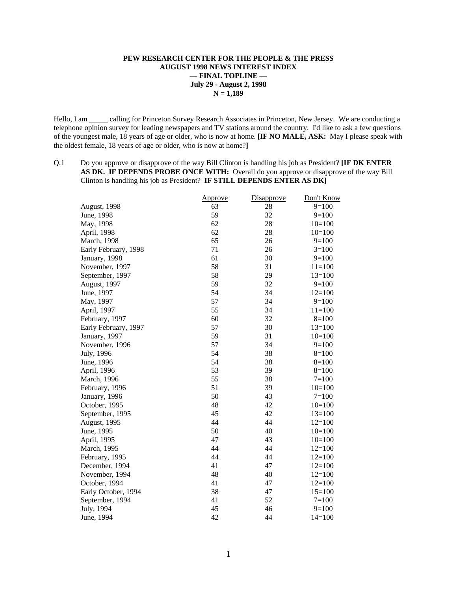### **PEW RESEARCH CENTER FOR THE PEOPLE & THE PRESS AUGUST 1998 NEWS INTEREST INDEX — FINAL TOPLINE — July 29 - August 2, 1998 N = 1,189**

Hello, I am \_\_\_\_\_ calling for Princeton Survey Research Associates in Princeton, New Jersey. We are conducting a telephone opinion survey for leading newspapers and TV stations around the country. I'd like to ask a few questions of the youngest male, 18 years of age or older, who is now at home. **[IF NO MALE, ASK:** May I please speak with the oldest female, 18 years of age or older, who is now at home?**]**

Q.1 Do you approve or disapprove of the way Bill Clinton is handling his job as President? **[IF DK ENTER AS DK. IF DEPENDS PROBE ONCE WITH:** Overall do you approve or disapprove of the way Bill Clinton is handling his job as President? **IF STILL DEPENDS ENTER AS DK]**

|                      | Approve | Disapprove | Don't Know |
|----------------------|---------|------------|------------|
| <b>August</b> , 1998 | 63      | 28         | $9=100$    |
| June, 1998           | 59      | 32         | $9=100$    |
| May, 1998            | 62      | 28         | $10=100$   |
| April, 1998          | 62      | 28         | $10=100$   |
| March, 1998          | 65      | 26         | $9=100$    |
| Early February, 1998 | 71      | 26         | $3=100$    |
| January, 1998        | 61      | 30         | $9=100$    |
| November, 1997       | 58      | 31         | $11 = 100$ |
| September, 1997      | 58      | 29         | $13=100$   |
| August, 1997         | 59      | 32         | $9=100$    |
| June, 1997           | 54      | 34         | $12=100$   |
| May, 1997            | 57      | 34         | $9=100$    |
| April, 1997          | 55      | 34         | $11=100$   |
| February, 1997       | 60      | 32         | $8=100$    |
| Early February, 1997 | 57      | 30         | $13=100$   |
| January, 1997        | 59      | 31         | $10=100$   |
| November, 1996       | 57      | 34         | $9=100$    |
| July, 1996           | 54      | 38         | $8=100$    |
| June, 1996           | 54      | 38         | $8=100$    |
| April, 1996          | 53      | 39         | $8=100$    |
| March, 1996          | 55      | 38         | $7 = 100$  |
| February, 1996       | 51      | 39         | $10=100$   |
| January, 1996        | 50      | 43         | $7=100$    |
| October, 1995        | 48      | 42         | $10=100$   |
| September, 1995      | 45      | 42         | $13=100$   |
| August, 1995         | 44      | 44         | $12=100$   |
| June, 1995           | 50      | 40         | $10=100$   |
| April, 1995          | 47      | 43         | $10=100$   |
| March, 1995          | 44      | 44         | $12=100$   |
| February, 1995       | 44      | 44         | $12=100$   |
| December, 1994       | 41      | 47         | $12=100$   |
| November, 1994       | 48      | 40         | $12=100$   |
| October, 1994        | 41      | 47         | $12=100$   |
| Early October, 1994  | 38      | 47         | $15=100$   |
| September, 1994      | 41      | 52         | $7 = 100$  |
| July, 1994           | 45      | 46         | $9=100$    |
| June, 1994           | 42      | 44         | $14=100$   |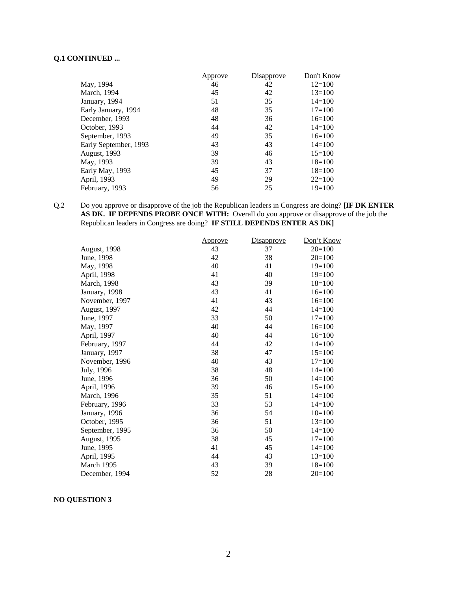# **Q.1 CONTINUED ...**

|                       | Approve | Disapprove | Don't Know |
|-----------------------|---------|------------|------------|
| May, 1994             | 46      | 42         | $12=100$   |
| March, 1994           | 45      | 42         | $13=100$   |
| January, 1994         | 51      | 35         | $14 = 100$ |
| Early January, 1994   | 48      | 35         | $17 = 100$ |
| December, 1993        | 48      | 36         | $16=100$   |
| October, 1993         | 44      | 42         | $14=100$   |
| September, 1993       | 49      | 35         | $16=100$   |
| Early September, 1993 | 43      | 43         | $14 = 100$ |
| <b>August</b> , 1993  | 39      | 46         | $15=100$   |
| May, 1993             | 39      | 43         | $18=100$   |
| Early May, 1993       | 45      | 37         | $18=100$   |
| April, 1993           | 49      | 29         | $22 = 100$ |
| February, 1993        | 56      | 25         | $19=100$   |

### Q.2 Do you approve or disapprove of the job the Republican leaders in Congress are doing? **[IF DK ENTER AS DK. IF DEPENDS PROBE ONCE WITH:** Overall do you approve or disapprove of the job the Republican leaders in Congress are doing? **IF STILL DEPENDS ENTER AS DK]**

|                     | <u>Approve</u> | Disapprove | Don't Know |
|---------------------|----------------|------------|------------|
| <b>August, 1998</b> | 43             | 37         | $20=100$   |
| June, 1998          | 42             | 38         | $20=100$   |
| May, 1998           | 40             | 41         | $19=100$   |
| April, 1998         | 41             | 40         | $19=100$   |
| March, 1998         | 43             | 39         | $18=100$   |
| January, 1998       | 43             | 41         | $16=100$   |
| November, 1997      | 41             | 43         | $16=100$   |
| August, 1997        | 42             | 44         | $14=100$   |
| June, 1997          | 33             | 50         | $17 = 100$ |
| May, 1997           | 40             | 44         | $16=100$   |
| April, 1997         | 40             | 44         | $16=100$   |
| February, 1997      | 44             | 42         | $14 = 100$ |
| January, 1997       | 38             | 47         | $15=100$   |
| November, 1996      | 40             | 43         | $17=100$   |
| July, 1996          | 38             | 48         | $14 = 100$ |
| June, 1996          | 36             | 50         | $14=100$   |
| April, 1996         | 39             | 46         | $15=100$   |
| March, 1996         | 35             | 51         | $14=100$   |
| February, 1996      | 33             | 53         | $14=100$   |
| January, 1996       | 36             | 54         | $10=100$   |
| October, 1995       | 36             | 51         | $13 = 100$ |
| September, 1995     | 36             | 50         | $14=100$   |
| August, 1995        | 38             | 45         | $17=100$   |
| June, 1995          | 41             | 45         | $14=100$   |
| April, 1995         | 44             | 43         | $13=100$   |
| March 1995          | 43             | 39         | $18=100$   |
| December, 1994      | 52             | 28         | $20=100$   |

**NO QUESTION 3**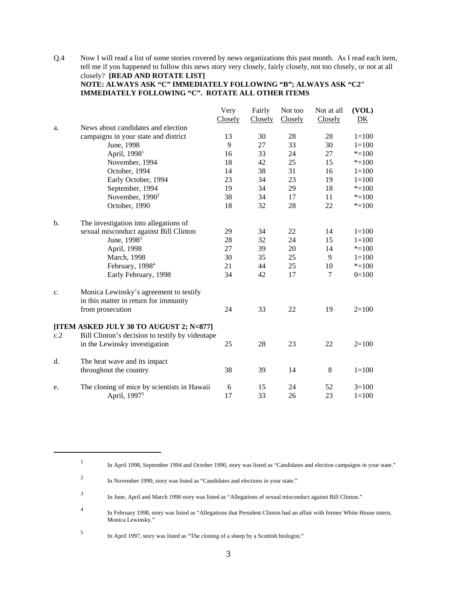Q.4 Now I will read a list of some stories covered by news organizations this past month. As I read each item, tell me if you happened to follow this news story very closely, fairly closely, not too closely, or not at all closely? **[READ AND ROTATE LIST] NOTE: ALWAYS ASK "C" IMMEDIATELY FOLLOWING "B"; ALWAYS ASK "C2"**

**IMMEDIATELY FOLLOWING "C". ROTATE ALL OTHER ITEMS**

|               |                                                 | Very    | Fairly  | Not too | Not at all | (VOL)     |
|---------------|-------------------------------------------------|---------|---------|---------|------------|-----------|
|               |                                                 | Closely | Closely | Closely | Closely    | DK        |
| a.            | News about candidates and election              |         |         |         |            |           |
|               | campaigns in your state and district            | 13      | 30      | 28      | 28         | $1 = 100$ |
|               | June, 1998                                      | 9       | 27      | 33      | 30         | $1 = 100$ |
|               | April, 1998 <sup>1</sup>                        | 16      | 33      | 24      | 27         | $* = 100$ |
|               | November, 1994                                  | 18      | 42      | 25      | 15         | $* = 100$ |
|               | October, 1994                                   | 14      | 38      | 31      | 16         | $1 = 100$ |
|               | Early October, 1994                             | 23      | 34      | 23      | 19         | $1 = 100$ |
|               | September, 1994                                 | 19      | 34      | 29      | 18         | $* = 100$ |
|               | November, 1990 <sup>2</sup>                     | 38      | 34      | 17      | 11         | $* = 100$ |
|               | October, 1990                                   | 18      | 32      | 28      | 22         | $* = 100$ |
| $\mathbf b$ . | The investigation into allegations of           |         |         |         |            |           |
|               | sexual misconduct against Bill Clinton          | 29      | 34      | 22      | 14         | $1 = 100$ |
|               | June, 1998 <sup>3</sup>                         | 28      | 32      | 24      | 15         | $1 = 100$ |
|               | April, 1998                                     | 27      | 39      | 20      | 14         | $* = 100$ |
|               | March, 1998                                     | 30      | 35      | 25      | 9          | $1 = 100$ |
|               | February, 1998 <sup>4</sup>                     | 21      | 44      | 25      | 10         | $* = 100$ |
|               | Early February, 1998                            | 34      | 42      | 17      | 7          | $0=100$   |
| c.            | Monica Lewinsky's agreement to testify          |         |         |         |            |           |
|               | in this matter in return for immunity           |         |         |         |            |           |
|               | from prosecution                                | 24      | 33      | 22      | 19         | $2=100$   |
|               | [ITEM ASKED JULY 30 TO AUGUST 2; N=877]         |         |         |         |            |           |
| c.2           | Bill Clinton's decision to testify by videotape |         |         |         |            |           |
|               | in the Lewinsky investigation                   | 25      | 28      | 23      | 22         | $2=100$   |
| d.            | The heat wave and its impact                    |         |         |         |            |           |
|               | throughout the country                          | 38      | 39      | 14      | $\,8\,$    | $1 = 100$ |
| e.            | The cloning of mice by scientists in Hawaii     | 6       | 15      | 24      | 52         | $3=100$   |
|               | April, 1997 <sup>5</sup>                        | 17      | 33      | 26      | 23         | $1 = 100$ |

<sup>1</sup> In April 1998, September 1994 and October 1990, story was listed as "Candidates and election campaigns in your state."

<sup>2</sup> In November 1990, story was listed as "Candidates and elections in your state."

<sup>3</sup> In June, April and March 1998 story was listed as "Allegations of sexual misconduct against Bill Clinton."

<sup>4</sup> In February 1998, story was listed as "Allegations that President Clinton had an affair with former White House intern, Monica Lewinsky."

<sup>5</sup> In April 1997, story was listed as "The cloning of a sheep by a Scottish biologist."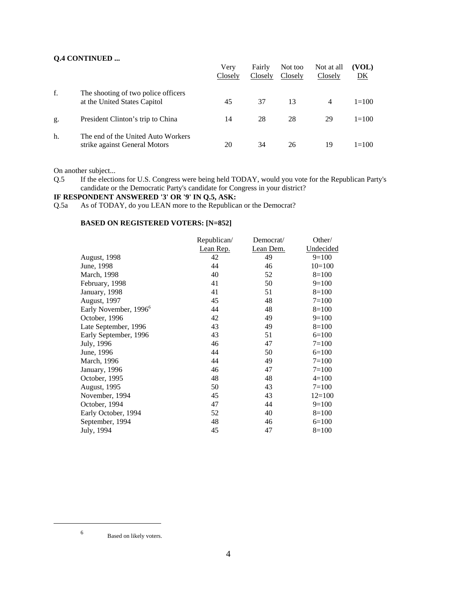### **Q.4 CONTINUED ...**

|    |                                                                     | Verv<br>Closely | Fairly<br>Closely | Not too<br>Closely | Not at all<br>Closely | (VOL)<br><u>DK</u> |
|----|---------------------------------------------------------------------|-----------------|-------------------|--------------------|-----------------------|--------------------|
| f. | The shooting of two police officers<br>at the United States Capitol | 45              | 37                | 13                 | 4                     | $1 = 100$          |
| g. | President Clinton's trip to China                                   | 14              | 28                | 28                 | 29                    | $1 = 100$          |
| h. | The end of the United Auto Workers<br>strike against General Motors | 20              | 34                | 26                 | 19                    | $1 = 100$          |

On another subject...

Q.5 If the elections for U.S. Congress were being held TODAY, would you vote for the Republican Party's candidate or the Democratic Party's candidate for Congress in your district?

# **IF RESPONDENT ANSWERED '3' OR '9' IN Q.5, ASK:**

Q.5a As of TODAY, do you LEAN more to the Republican or the Democrat?

### **BASED ON REGISTERED VOTERS: [N=852]**

|                                   | Republican/ | Democrat/ | Other/    |
|-----------------------------------|-------------|-----------|-----------|
|                                   | Lean Rep.   | Lean Dem. | Undecided |
| August, 1998                      | 42          | 49        | $9=100$   |
| June, 1998                        | 44          | 46        | $10=100$  |
| March, 1998                       | 40          | 52        | $8=100$   |
| February, 1998                    | 41          | 50        | $9=100$   |
| January, 1998                     | 41          | 51        | $8=100$   |
| August, 1997                      | 45          | 48        | $7 = 100$ |
| Early November, 1996 <sup>6</sup> | 44          | 48        | $8=100$   |
| October, 1996                     | 42          | 49        | $9=100$   |
| Late September, 1996              | 43          | 49        | $8=100$   |
| Early September, 1996             | 43          | 51        | $6=100$   |
| July, 1996                        | 46          | 47        | $7 = 100$ |
| June, 1996                        | 44          | 50        | $6=100$   |
| March, 1996                       | 44          | 49        | $7 = 100$ |
| January, 1996                     | 46          | 47        | $7 = 100$ |
| October, 1995                     | 48          | 48        | $4=100$   |
| <b>August, 1995</b>               | 50          | 43        | $7=100$   |
| November, 1994                    | 45          | 43        | $12=100$  |
| October, 1994                     | 47          | 44        | $9=100$   |
| Early October, 1994               | 52          | 40        | $8=100$   |
| September, 1994                   | 48          | 46        | $6=100$   |
| July, 1994                        | 45          | 47        | $8=100$   |

<sup>6</sup> Based on likely voters.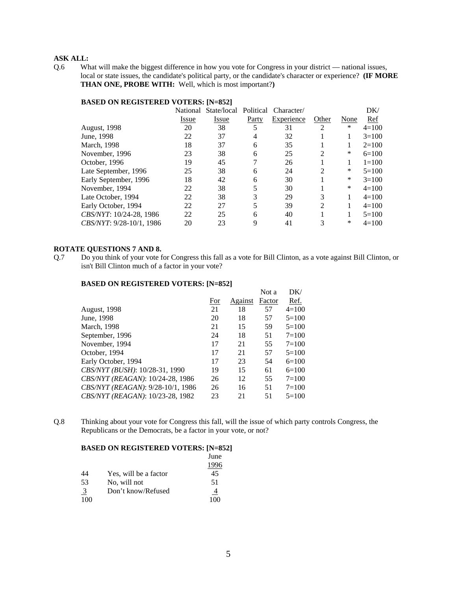Q.6 What will make the biggest difference in how you vote for Congress in your district — national issues, local or state issues, the candidate's political party, or the candidate's character or experience? **(IF MORE THAN ONE, PROBE WITH:** Well, which is most important?**)**

| DAOLD ON REGISTERED TOTERS. [11-022] |          |             |           |            |                |        |           |
|--------------------------------------|----------|-------------|-----------|------------|----------------|--------|-----------|
|                                      | National | State/local | Political | Character/ |                |        | DK/       |
|                                      | Issue    | Issue       | Party     | Experience | Other          | None   | Ref       |
| August, 1998                         | 20       | 38          |           | 31         | 2              | $\ast$ | $4=100$   |
| June, 1998                           | 22       | 37          | 4         | 32         |                | 1      | $3=100$   |
| March, 1998                          | 18       | 37          | 6         | 35         |                |        | $2=100$   |
| November, 1996                       | 23       | 38          | 6         | 25         | 2              | *      | $6=100$   |
| October, 1996                        | 19       | 45          |           | 26         |                |        | $1 = 100$ |
| Late September, 1996                 | 25       | 38          | 6         | 24         | $\mathfrak{D}$ | *      | $5=100$   |
| Early September, 1996                | 18       | 42          | 6         | 30         |                | *      | $3=100$   |
| November, 1994                       | 22       | 38          |           | 30         |                | *      | $4=100$   |
| Late October, 1994                   | 22       | 38          | 3         | 29         | 3              |        | $4=100$   |
| Early October, 1994                  | 22       | 27          |           | 39         | 2              |        | $4=100$   |
| CBS/NYT: 10/24-28, 1986              | 22       | 25          | 6         | 40         |                |        | $5=100$   |
| CBS/NYT: 9/28-10/1, 1986             | 20       | 23          | 9         | 41         | 3              | *      | $4=100$   |
|                                      |          |             |           |            |                |        |           |

# **BASED ON REGISTERED VOTERS: [N=852]**

#### **ROTATE QUESTIONS 7 AND 8.**

Q.7 Do you think of your vote for Congress this fall as a vote for Bill Clinton, as a vote against Bill Clinton, or isn't Bill Clinton much of a factor in your vote?

#### **BASED ON REGISTERED VOTERS: [N=852]**

|                                   |     |         | Not a  | DK/       |
|-----------------------------------|-----|---------|--------|-----------|
|                                   | For | Against | Factor | Ref.      |
| August, 1998                      | 21  | 18      | 57     | $4=100$   |
| June, 1998                        | 20  | 18      | 57     | $5=100$   |
| March, 1998                       | 21  | 15      | 59     | $5=100$   |
| September, 1996                   | 24  | 18      | 51     | $7 = 100$ |
| November, 1994                    | 17  | 21      | 55     | $7 = 100$ |
| October, 1994                     | 17  | 21      | 57     | $5=100$   |
| Early October, 1994               | 17  | 23      | 54     | $6=100$   |
| CBS/NYT (BUSH): 10/28-31, 1990    | 19  | 15      | 61     | $6=100$   |
| CBS/NYT (REAGAN): 10/24-28, 1986  | 26  | 12      | 55     | $7 = 100$ |
| CBS/NYT (REAGAN): 9/28-10/1, 1986 | 26  | 16      | 51     | $7 = 100$ |
| CBS/NYT (REAGAN): 10/23-28, 1982  | 23  | 21      | 51     | $5=100$   |
|                                   |     |         |        |           |

Q.8 Thinking about your vote for Congress this fall, will the issue of which party controls Congress, the Republicans or the Democrats, be a factor in your vote, or not?

#### **BASED ON REGISTERED VOTERS: [N=852]** June

|                |                       | Julie |
|----------------|-----------------------|-------|
|                |                       |       |
| 44             | Yes, will be a factor | 45    |
| .53            | No, will not          | 51    |
| $\overline{3}$ | Don't know/Refused    |       |
| $100 -$        |                       |       |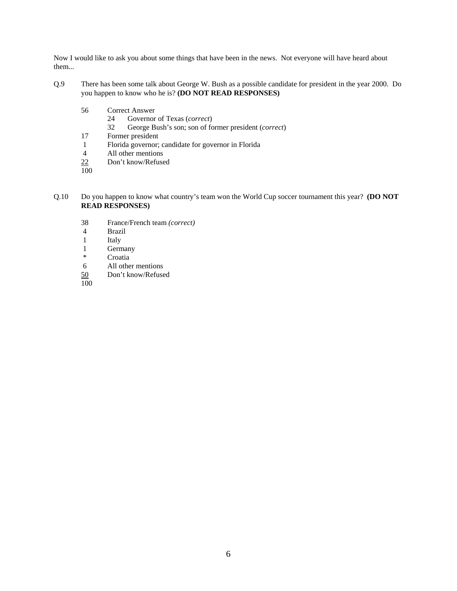Now I would like to ask you about some things that have been in the news. Not everyone will have heard about them...

- Q.9 There has been some talk about George W. Bush as a possible candidate for president in the year 2000. Do you happen to know who he is? **(DO NOT READ RESPONSES)**
	- 56 Correct Answer
		- 24 Governor of Texas (*correct*)
		- 32 George Bush's son; son of former president (*correct*)
	- 17 Former president
	- 1 Florida governor; candidate for governor in Florida
	- 4 All other mentions
	- 22 Don't know/Refused
	- $\overline{100}$
- Q.10 Do you happen to know what country's team won the World Cup soccer tournament this year? **(DO NOT READ RESPONSES)**
	- 38 France/French team *(correct)*
	- 4 Brazil
	- **Italy**
	- 1 Germany<br>\* Croatia
	- Croatia
	- 6 All other mentions
	- 50 Don't know/Refused
	- 100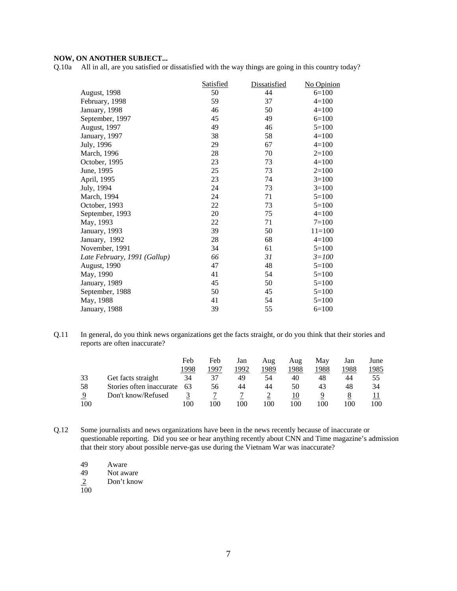### **NOW, ON ANOTHER SUBJECT...**

Q.10a All in all, are you satisfied or dissatisfied with the way things are going in this country today?

|                              | <b>Satisfied</b> | Dissatisfied | No Opinion |
|------------------------------|------------------|--------------|------------|
| August, 1998                 | 50               | 44           | $6=100$    |
| February, 1998               | 59               | 37           | $4 = 100$  |
| January, 1998                | 46               | 50           | $4=100$    |
| September, 1997              | 45               | 49           | $6=100$    |
| August, 1997                 | 49               | 46           | $5=100$    |
| January, 1997                | 38               | 58           | $4 = 100$  |
| July, 1996                   | 29               | 67           | $4=100$    |
| March, 1996                  | 28               | 70           | $2=100$    |
| October, 1995                | 23               | 73           | $4=100$    |
| June, 1995                   | 25               | 73           | $2=100$    |
| April, 1995                  | 23               | 74           | $3=100$    |
| July, 1994                   | 24               | 73           | $3=100$    |
| March, 1994                  | 24               | 71           | $5=100$    |
| October, 1993                | 22               | 73           | $5=100$    |
| September, 1993              | 20               | 75           | $4=100$    |
| May, 1993                    | 22               | 71           | $7 = 100$  |
| January, 1993                | 39               | 50           | $11 = 100$ |
| January, 1992                | 28               | 68           | $4=100$    |
| November, 1991               | 34               | 61           | $5=100$    |
| Late February, 1991 (Gallup) | 66               | 31           | $3 = 100$  |
| <b>August</b> , 1990         | 47               | 48           | $5=100$    |
| May, 1990                    | 41               | 54           | $5=100$    |
| January, 1989                | 45               | 50           | $5=100$    |
| September, 1988              | 50               | 45           | $5=100$    |
| May, 1988                    | 41               | 54           | $5=100$    |
| January, 1988                | 39               | 55           | $6=100$    |

Q.11 In general, do you think news organizations get the facts straight, or do you think that their stories and reports are often inaccurate?

|     |                          | Feb  | Feb  | Jan  | Aug  | Aug  | Mav  | Jan  | June |
|-----|--------------------------|------|------|------|------|------|------|------|------|
|     |                          | 1998 | 1997 | 1992 | 1989 | 1988 | 1988 | 1988 | 1985 |
| 33  | Get facts straight       | 34   |      | 49   | 54   | 40   | 48   | 44   | 55   |
| 58  | Stories often inaccurate | 63   | 56   | 44   | 44   | 50   | 43   | 48   | 34   |
| 9   | Don't know/Refused       |      |      |      |      | 10   |      |      |      |
| 100 |                          | 100  | 100  | 100  | 100  | 100  | 100  | 100  | 100  |

- Q.12 Some journalists and news organizations have been in the news recently because of inaccurate or questionable reporting. Did you see or hear anything recently about CNN and Time magazine's admission that their story about possible nerve-gas use during the Vietnam War was inaccurate?
	- 49 Aware<br>49 Not aw Not aware Don't know  $\frac{2}{100}$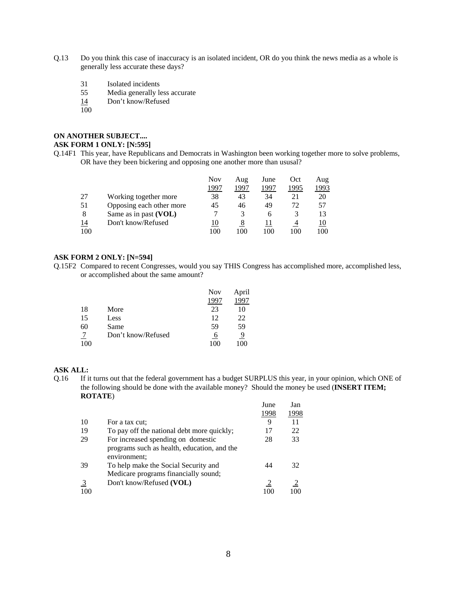- Q.13 Do you think this case of inaccuracy is an isolated incident, OR do you think the news media as a whole is generally less accurate these days?
	- 31 Isolated incidents
	- 55 Media generally less accurate
	- 14 Don't know/Refused
	- 100

#### **ON ANOTHER SUBJECT.... ASK FORM 1 ONLY: [N:595]**

Q.14F1 This year, have Republicans and Democrats in Washington been working together more to solve problems, OR have they been bickering and opposing one another more than ususal?

|     |                          | Nov  | Aug  | June | Oct  | Aug  |
|-----|--------------------------|------|------|------|------|------|
|     |                          | 1997 | 1997 | 1997 | 1995 | 1993 |
| 27  | Working together more    | 38   | 43   | 34   | 21   | 20   |
| 51  | Opposing each other more | 45   | 46   | 49   | 72.  | 57   |
| 8   | Same as in past (VOL)    |      | 3    | h    |      | 13   |
| 14  | Don't know/Refused       | 10   | 8    |      |      |      |
| 100 |                          | 100  | 100  | 100  | 100  | 100  |

### **ASK FORM 2 ONLY: [N=594]**

Q.15F2 Compared to recent Congresses, would you say THIS Congress has accomplished more, accomplished less, or accomplished about the same amount?

|     |                    | <b>Nov</b> | April    |
|-----|--------------------|------------|----------|
|     |                    | 1997       | 99       |
| 18  | More               | 23         | 10       |
| 15  | Less               | 12         | 22       |
| 60  | Same               | 59         | 59       |
|     | Don't know/Refused | O          | <u>9</u> |
| 100 |                    | 100        | 100      |

## **ASK ALL:**

Q.16 If it turns out that the federal government has a budget SURPLUS this year, in your opinion, which ONE of the following should be done with the available money? Should the money be used (**INSERT ITEM; ROTATE**)

|                |                                                             | June | Jan  |
|----------------|-------------------------------------------------------------|------|------|
|                |                                                             | 1998 | 1998 |
| 10             | For a tax cut:                                              | 9    | 11   |
| 19             | To pay off the national debt more quickly;                  | 17   | 22   |
| 29             | For increased spending on domestic                          | 28   | 33   |
|                | programs such as health, education, and the<br>environment; |      |      |
| 39             | To help make the Social Security and                        | 44   | 32   |
|                | Medicare programs financially sound;                        |      |      |
| $\overline{3}$ | Don't know/Refused (VOL)                                    |      |      |
| 100            |                                                             |      |      |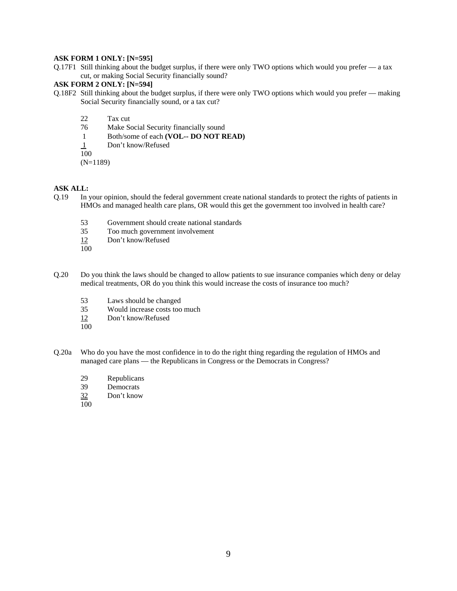#### **ASK FORM 1 ONLY: [N=595]**

Q.17F1 Still thinking about the budget surplus, if there were only TWO options which would you prefer — a tax cut, or making Social Security financially sound?

#### **ASK FORM 2 ONLY: [N=594]**

- Q.18F2 Still thinking about the budget surplus, if there were only TWO options which would you prefer making Social Security financially sound, or a tax cut?
	- 22 Tax cut<br>76 Make S
	- Make Social Security financially sound
	- 1 Both/some of each **(VOL-- DO NOT READ)**
	- 1 Don't know/Refused

100

(N=1189)

#### **ASK ALL:**

- Q.19 In your opinion, should the federal government create national standards to protect the rights of patients in HMOs and managed health care plans, OR would this get the government too involved in health care?
	- 53 Government should create national standards<br>35 Too much government involvement
	- Too much government involvement
	- 12 Don't know/Refused
	- 100
- Q.20 Do you think the laws should be changed to allow patients to sue insurance companies which deny or delay medical treatments, OR do you think this would increase the costs of insurance too much?
	- 53 Laws should be changed
	- 35 Would increase costs too much
	- 12 Don't know/Refused
	- $\overline{100}$
- Q.20a Who do you have the most confidence in to do the right thing regarding the regulation of HMOs and managed care plans — the Republicans in Congress or the Democrats in Congress?
	- 29 Republicans<br>39 Democrats
	- Democrats
	- 32 Don't know
	- 100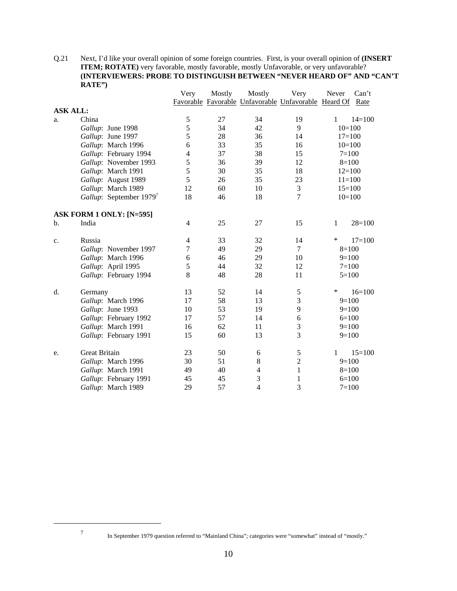Q.21 Next, I'd like your overall opinion of some foreign countries. First, is your overall opinion of **(INSERT ITEM; ROTATE**) very favorable, mostly favorable, mostly Unfavorable, or very unfavorable? **(INTERVIEWERS: PROBE TO DISTINGUISH BETWEEN "NEVER HEARD OF" AND "CAN'T RATE")**

|                 |                                     | Very           | Mostly | Mostly           | Very                                                      | Never        | Can't      |
|-----------------|-------------------------------------|----------------|--------|------------------|-----------------------------------------------------------|--------------|------------|
|                 |                                     |                |        |                  | Favorable Favorable Unfavorable Unfavorable Heard Of Rate |              |            |
| <b>ASK ALL:</b> |                                     |                |        |                  |                                                           |              |            |
| a.              | China                               | 5              | 27     | 34               | 19                                                        | 1            | $14 = 100$ |
|                 | Gallup: June 1998                   | 5              | 34     | 42               | 9                                                         | $10=100$     |            |
|                 | Gallup: June 1997                   | 5              | 28     | 36               | 14                                                        | $17=100$     |            |
|                 | Gallup: March 1996                  | 6              | 33     | 35               | 16                                                        | $10=100$     |            |
|                 | Gallup: February 1994               | $\overline{4}$ | 37     | 38               | 15                                                        | $7 = 100$    |            |
|                 | Gallup: November 1993               | 5              | 36     | 39               | 12                                                        | $8=100$      |            |
|                 | Gallup: March 1991                  | 5              | 30     | 35               | 18                                                        | $12=100$     |            |
|                 | Gallup: August 1989                 | 5              | 26     | 35               | 23                                                        | $11=100$     |            |
|                 | Gallup: March 1989                  | 12             | 60     | 10               | 3                                                         | $15=100$     |            |
|                 | Gallup: September 1979 <sup>7</sup> | 18             | 46     | 18               | $\overline{7}$                                            | $10=100$     |            |
|                 | ASK FORM 1 ONLY: [N=595]            |                |        |                  |                                                           |              |            |
| $\mathbf{b}$ .  | India                               | $\overline{4}$ | 25     | 27               | 15                                                        | $\mathbf{1}$ | $28=100$   |
| c.              | Russia                              | 4              | 33     | 32               | 14                                                        | ∗            | $17 = 100$ |
|                 | Gallup: November 1997               | 7              | 49     | 29               | $\overline{7}$                                            | $8=100$      |            |
|                 | Gallup: March 1996                  | 6              | 46     | 29               | 10                                                        | $9=100$      |            |
|                 | Gallup: April 1995                  | 5              | 44     | 32               | 12                                                        | $7 = 100$    |            |
|                 | Gallup: February 1994               | 8              | 48     | 28               | 11                                                        | $5 = 100$    |            |
| d.              | Germany                             | 13             | 52     | 14               | $\mathfrak s$                                             | ∗            | $16=100$   |
|                 | Gallup: March 1996                  | 17             | 58     | 13               | 3                                                         | $9=100$      |            |
|                 | Gallup: June 1993                   | 10             | 53     | 19               | 9                                                         | $9=100$      |            |
|                 | Gallup: February 1992               | 17             | 57     | 14               | 6                                                         | $6=100$      |            |
|                 | Gallup: March 1991                  | 16             | 62     | 11               | $\mathfrak{Z}$                                            | $9=100$      |            |
|                 | Gallup: February 1991               | 15             | 60     | 13               | 3                                                         | $9=100$      |            |
| e.              | <b>Great Britain</b>                | 23             | 50     | $\boldsymbol{6}$ | $\mathfrak s$                                             | $\mathbf{1}$ | $15=100$   |
|                 | Gallup: March 1996                  | 30             | 51     | 8                | $\overline{c}$                                            | $9=100$      |            |
|                 | Gallup: March 1991                  | 49             | 40     | $\overline{4}$   | $\mathbf{1}$                                              | $8=100$      |            |
|                 | Gallup: February 1991               | 45             | 45     | 3                | $\mathbf{1}$                                              | $6=100$      |            |
|                 | Gallup: March 1989                  | 29             | 57     | $\overline{4}$   | 3                                                         | $7 = 100$    |            |

<sup>7</sup> In September 1979 question referred to "Mainland China"; categories were "somewhat" instead of "mostly."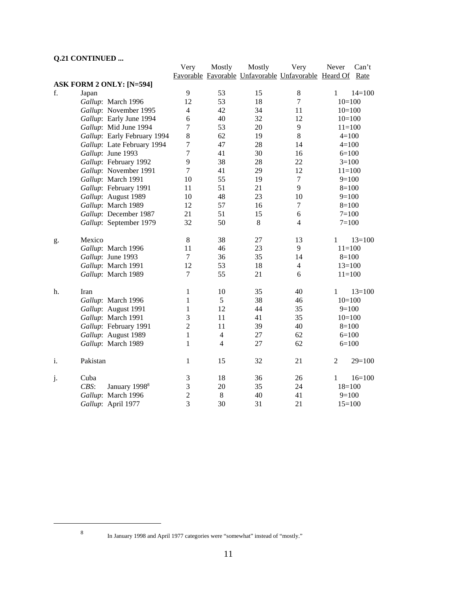# **Q.21 CONTINUED ...**

|                |          |                                 | Very             | Mostly         | Mostly | Very                                                 | Never          | Can't      |
|----------------|----------|---------------------------------|------------------|----------------|--------|------------------------------------------------------|----------------|------------|
|                |          |                                 |                  |                |        | Favorable Favorable Unfavorable Unfavorable Heard Of |                | Rate       |
|                |          | <b>ASK FORM 2 ONLY: [N=594]</b> |                  |                |        |                                                      |                |            |
| f.             | Japan    |                                 | 9                | 53             | 15     | $8\,$                                                | $\mathbf{1}$   | $14=100$   |
|                |          | Gallup: March 1996              | 12               | 53             | 18     | $\tau$                                               |                | $10=100$   |
|                |          | Gallup: November 1995           | $\overline{4}$   | 42             | 34     | 11                                                   |                | $10=100$   |
|                |          | Gallup: Early June 1994         | 6                | 40             | 32     | 12                                                   |                | $10=100$   |
|                |          | Gallup: Mid June 1994           | $\overline{7}$   | 53             | 20     | 9                                                    |                | $11=100$   |
|                |          | Gallup: Early February 1994     | 8                | 62             | 19     | 8                                                    |                | $4=100$    |
|                |          | Gallup: Late February 1994      | $\boldsymbol{7}$ | 47             | 28     | 14                                                   |                | $4=100$    |
|                |          | Gallup: June 1993               | $\overline{7}$   | 41             | 30     | 16                                                   |                | $6=100$    |
|                |          | Gallup: February 1992           | 9                | 38             | 28     | 22                                                   |                | $3=100$    |
|                |          | Gallup: November 1991           | $\overline{7}$   | 41             | 29     | 12                                                   |                | $11=100$   |
|                |          | Gallup: March 1991              | 10               | 55             | 19     | $\tau$                                               |                | $9=100$    |
|                |          | Gallup: February 1991           | 11               | 51             | 21     | 9                                                    |                | $8=100$    |
|                |          | Gallup: August 1989             | 10               | 48             | 23     | 10                                                   |                | $9=100$    |
|                |          | Gallup: March 1989              | 12               | 57             | 16     | 7                                                    |                | $8=100$    |
|                |          | Gallup: December 1987           | 21               | 51             | 15     | 6                                                    |                | $7 = 100$  |
|                |          | Gallup: September 1979          | 32               | 50             | 8      | $\overline{4}$                                       |                | $7 = 100$  |
|                |          |                                 |                  |                |        |                                                      |                |            |
| g.             | Mexico   |                                 | $8\,$            | 38             | 27     | 13                                                   | $\mathbf{1}$   | $13=100$   |
|                |          | Gallup: March 1996              | 11               | 46             | 23     | 9                                                    |                | $11 = 100$ |
|                |          | Gallup: June 1993               | $\tau$           | 36             | 35     | 14                                                   |                | $8=100$    |
|                |          | Gallup: March 1991              | 12               | 53             | 18     | $\overline{4}$                                       |                | $13=100$   |
|                |          | Gallup: March 1989              | $\boldsymbol{7}$ | 55             | 21     | 6                                                    |                | $11=100$   |
| h.             | Iran     |                                 | 1                | 10             | 35     | 40                                                   | $\mathbf{1}$   | $13=100$   |
|                |          | Gallup: March 1996              | $\mathbf{1}$     | 5              | 38     | 46                                                   |                | $10=100$   |
|                |          | Gallup: August 1991             | $\mathbf{1}$     | 12             | 44     | 35                                                   |                | $9=100$    |
|                |          | Gallup: March 1991              | $\mathfrak{Z}$   | 11             | 41     | 35                                                   |                | $10=100$   |
|                |          | Gallup: February 1991           | $\overline{2}$   | 11             | 39     | 40                                                   |                | $8=100$    |
|                |          | Gallup: August 1989             | $\mathbf{1}$     | $\overline{4}$ | 27     | 62                                                   |                | $6=100$    |
|                |          | Gallup: March 1989              | $\mathbf{1}$     | $\overline{4}$ | 27     | 62                                                   |                | $6=100$    |
| $\mathbf{i}$ . | Pakistan |                                 | $\mathbf{1}$     | 15             | 32     | 21                                                   | $\overline{2}$ | $29=100$   |
| j.             | Cuba     |                                 | 3                | 18             | 36     | 26                                                   | 1              | $16=100$   |
|                | CBS:     | January 1998 <sup>8</sup>       | $\mathfrak{Z}$   | 20             | 35     | 24                                                   |                | $18=100$   |
|                |          | Gallup: March 1996              | $\overline{2}$   | $\,8\,$        | 40     | 41                                                   |                | $9=100$    |
|                |          | Gallup: April 1977              | $\overline{3}$   | 30             | 31     | 21                                                   |                | $15=100$   |

<sup>8</sup> In January 1998 and April 1977 categories were "somewhat" instead of "mostly."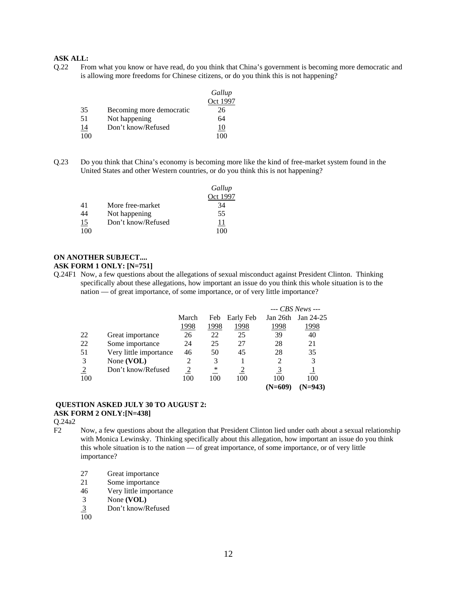Q.22 From what you know or have read, do you think that China's government is becoming more democratic and is allowing more freedoms for Chinese citizens, or do you think this is not happening?

|           |                          | Gallup       |
|-----------|--------------------------|--------------|
|           |                          | Oct 1997     |
| 35        | Becoming more democratic | 26           |
| 51        | Not happening            | 64           |
| <u>14</u> | Don't know/Refused       | 10           |
| 100       |                          | $00^{\circ}$ |

Q.23 Do you think that China's economy is becoming more like the kind of free-market system found in the United States and other Western countries, or do you think this is not happening?

|     |                    | Gallup   |
|-----|--------------------|----------|
|     |                    | Oct 1997 |
| 41  | More free-market   | 34       |
| 44  | Not happening      | 55       |
| 15  | Don't know/Refused | 11       |
| 100 |                    |          |

### **ON ANOTHER SUBJECT....**

### **ASK FORM 1 ONLY: [N=751]**

Q.24F1 Now, a few questions about the allegations of sexual misconduct against President Clinton. Thinking specifically about these allegations, how important an issue do you think this whole situation is to the nation — of great importance, of some importance, or of very little importance?

|                |                        |       |      |           |           | $-$ CBS News $-$ |
|----------------|------------------------|-------|------|-----------|-----------|------------------|
|                |                        | March | Feb  | Early Feb | Jan 26th  | Jan 24-25        |
|                |                        | 1998  | 1998 | 1998      | 1998      | 1998             |
| 22             | Great importance       | 26    | 22   | 25        | 39        | 40               |
| 22             | Some importance        | 24    | 25   | 27        | 28        | 21               |
| 51             | Very little importance | 46    | 50   | 45        | 28        | 35               |
| 3              | None (VOL)             |       | 3    |           | 2         | 3                |
| $\overline{2}$ | Don't know/Refused     | 2     | ∗    |           |           |                  |
| 100            |                        | 100   | 100  | 100       | 100       | 100              |
|                |                        |       |      |           | $(N=609)$ | $N=943$          |

### **QUESTION ASKED JULY 30 TO AUGUST 2: ASK FORM 2 ONLY:[N=438]**

Q.24a2

- F2 Now, a few questions about the allegation that President Clinton lied under oath about a sexual relationship with Monica Lewinsky. Thinking specifically about this allegation, how important an issue do you think this whole situation is to the nation — of great importance, of some importance, or of very little importance?
	- 27 Great importance
	- 21 Some importance
	- 46 Very little importance
	- 3 None **(VOL)**
	- 3 Don't know/Refused  $\frac{3}{100}$
	-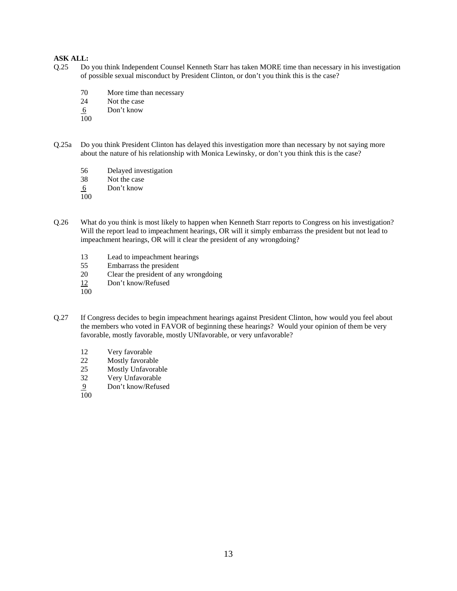- Q.25 Do you think Independent Counsel Kenneth Starr has taken MORE time than necessary in his investigation of possible sexual misconduct by President Clinton, or don't you think this is the case?
	- 70 More time than necessary
	- 24 Not the case
	- 6 Don't know
	- 100
- Q.25a Do you think President Clinton has delayed this investigation more than necessary by not saying more about the nature of his relationship with Monica Lewinsky, or don't you think this is the case?
	- 56 Delayed investigation

38 Not the case

6 Don't know

100

- Q.26 What do you think is most likely to happen when Kenneth Starr reports to Congress on his investigation? Will the report lead to impeachment hearings, OR will it simply embarrass the president but not lead to impeachment hearings, OR will it clear the president of any wrongdoing?
	- 13 Lead to impeachment hearings
	- 55 Embarrass the president
	- 20 Clear the president of any wrongdoing<br>
	22 Don't know/Refused
	- Don't know/Refused
	- $\overline{100}$
- Q.27 If Congress decides to begin impeachment hearings against President Clinton, how would you feel about the members who voted in FAVOR of beginning these hearings? Would your opinion of them be very favorable, mostly favorable, mostly UNfavorable, or very unfavorable?
	- 12 Very favorable
	- 22 Mostly favorable<br>25 Mostly Unfavoral
	- 25 Mostly Unfavorable<br>32 Very Unfavorable
	- Very Unfavorable
	- 9 Don't know/Refused
	- 100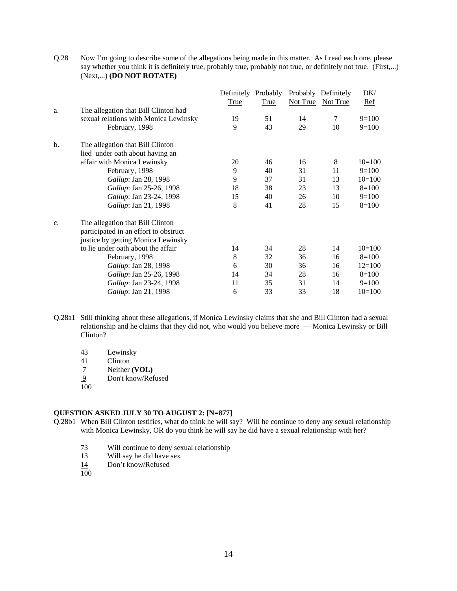Q.28 Now I'm going to describe some of the allegations being made in this matter. As I read each one, please say whether you think it is definitely true, probably true, probably not true, or definitely not true. (First,...) (Next,...) **(DO NOT ROTATE)**

|                |                                       | Definitely Probably<br>True | <b>True</b> | <b>Not True</b> | Probably Definitely<br>Not True | DK/<br>Ref |
|----------------|---------------------------------------|-----------------------------|-------------|-----------------|---------------------------------|------------|
| a.             | The allegation that Bill Clinton had  |                             |             |                 |                                 |            |
|                | sexual relations with Monica Lewinsky | 19                          | 51          | 14              | 7                               | $9=100$    |
|                | February, 1998                        | 9                           | 43          | 29              | 10                              | $9=100$    |
| $\mathbf{b}$ . | The allegation that Bill Clinton      |                             |             |                 |                                 |            |
|                | lied under oath about having an       |                             |             |                 |                                 |            |
|                | affair with Monica Lewinsky           | 20                          | 46          | 16              | 8                               | $10=100$   |
|                | February, 1998                        | 9                           | 40          | 31              | 11                              | $9=100$    |
|                | Gallup: Jan 28, 1998                  | 9                           | 37          | 31              | 13                              | $10=100$   |
|                | Gallup: Jan 25-26, 1998               | 18                          | 38          | 23              | 13                              | $8=100$    |
|                | Gallup: Jan 23-24, 1998               | 15                          | 40          | 26              | 10                              | $9=100$    |
|                | Gallup: Jan 21, 1998                  | 8                           | 41          | 28              | 15                              | $8=100$    |
| c.             | The allegation that Bill Clinton      |                             |             |                 |                                 |            |
|                | participated in an effort to obstruct |                             |             |                 |                                 |            |
|                | justice by getting Monica Lewinsky    |                             |             |                 |                                 |            |
|                | to lie under oath about the affair    | 14                          | 34          | 28              | 14                              | $10=100$   |
|                | February, 1998                        | 8                           | 32          | 36              | 16                              | $8=100$    |
|                | Gallup: Jan 28, 1998                  | 6                           | 30          | 36              | 16                              | $12=100$   |
|                | Gallup: Jan 25-26, 1998               | 14                          | 34          | 28              | 16                              | $8=100$    |
|                | <i>Gallup</i> : Jan 23-24, 1998       | 11                          | 35          | 31              | 14                              | $9=100$    |
|                | Gallup: Jan 21, 1998                  | 6                           | 33          | 33              | 18                              | $10=100$   |

- Q.28a1 Still thinking about these allegations, if Monica Lewinsky claims that she and Bill Clinton had a sexual relationship and he claims that they did not, who would you believe more — Monica Lewinsky or Bill Clinton?
	- 43 Lewinsky
	- 41 Clinton<br>7 Neither
	- 7 Neither **(VOL)**<br>9 Don't know/Ref
	- Don't know/Refused
	- 100

#### **QUESTION ASKED JULY 30 TO AUGUST 2: [N=877]**

- Q.28b1 When Bill Clinton testifies, what do think he will say? Will he continue to deny any sexual relationship with Monica Lewinsky, OR do you think he will say he did have a sexual relationship with her?
	- 73 Will continue to deny sexual relationship<br>13 Will say he did have sex
	- Will say he did have sex
	- 14 Don't know/Refused
	- 100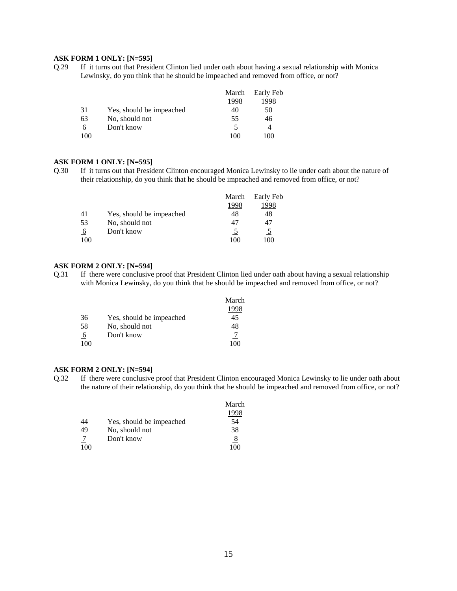#### **ASK FORM 1 ONLY: [N=595]**

Q.29 If it turns out that President Clinton lied under oath about having a sexual relationship with Monica Lewinsky, do you think that he should be impeached and removed from office, or not?

|          |                          | March | Early Feb |
|----------|--------------------------|-------|-----------|
|          |                          | 1998  | 998       |
| 31       | Yes, should be impeached | 40    | 50        |
| 63       | No, should not           | 55    | 46        |
| $\theta$ | Don't know               |       | 4         |
| 100      |                          | 1 O C | 100       |

#### **ASK FORM 1 ONLY: [N=595]**

Q.30 If it turns out that President Clinton encouraged Monica Lewinsky to lie under oath about the nature of their relationship, do you think that he should be impeached and removed from office, or not?

|          |                          | March | Early Feb     |
|----------|--------------------------|-------|---------------|
|          |                          |       | 998           |
| 41       | Yes, should be impeached | 48    | 48            |
| 53       | No, should not           | 47    |               |
| <u>6</u> | Don't know               |       | $\mathcal{L}$ |
| 100      |                          |       | 10C           |

#### **ASK FORM 2 ONLY: [N=594]**

Q.31 If there were conclusive proof that President Clinton lied under oath about having a sexual relationship with Monica Lewinsky, do you think that he should be impeached and removed from office, or not?

|     |                          | March |
|-----|--------------------------|-------|
|     |                          |       |
| 36  | Yes, should be impeached | 45    |
| 58  | No, should not           | 48    |
| 6   | Don't know               |       |
| 100 |                          | 100   |

#### **ASK FORM 2 ONLY: [N=594]**

Q.32 If there were conclusive proof that President Clinton encouraged Monica Lewinsky to lie under oath about the nature of their relationship, do you think that he should be impeached and removed from office, or not?

|     |                          | March    |
|-----|--------------------------|----------|
|     |                          |          |
| 44  | Yes, should be impeached | 54       |
| 49  | No, should not           | 38       |
|     | Don't know               | <u>8</u> |
| 100 |                          | 1 O C    |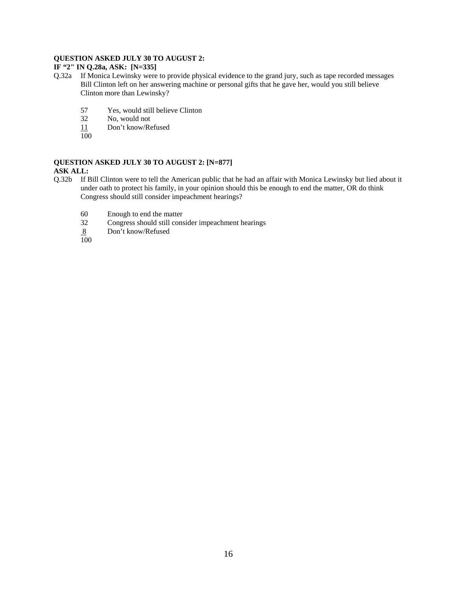### **QUESTION ASKED JULY 30 TO AUGUST 2:**

# **IF "2" IN Q.28a, ASK: [N=335]**

- Q.32a If Monica Lewinsky were to provide physical evidence to the grand jury, such as tape recorded messages Bill Clinton left on her answering machine or personal gifts that he gave her, would you still believe Clinton more than Lewinsky?
	- 57 Yes, would still believe Clinton
	- 32 No, would not<br> $\frac{11}{2}$  Don't know/Re
	- Don't know/Refused
	- $\overline{100}$

### **QUESTION ASKED JULY 30 TO AUGUST 2: [N=877]**

### **ASK ALL:**

- Q.32b If Bill Clinton were to tell the American public that he had an affair with Monica Lewinsky but lied about it under oath to protect his family, in your opinion should this be enough to end the matter, OR do think Congress should still consider impeachment hearings?
	- 60 Enough to end the matter<br>32 Congress should still cons
	- Congress should still consider impeachment hearings
	- Don't know/Refused  $\frac{8}{100}$